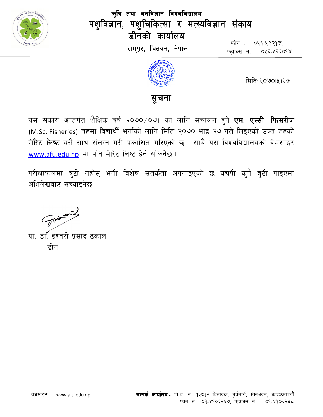

कृषि तथा वनविज्ञान विश्वविद्यालय पशुविज्ञान, पशुचिकित्सा र मत्स्यविज्ञान संकाय डीनको कार्यालय रामपुर, चितवन, नेपाल

फोन : ०५६-५९२१३१ फयाक्स नं. : ०५६-५२६०१४



मिति:२०७०।५।२७



यस संकाय अन्तर्गत शैक्षिक बर्ष २०७०⁄०७१ का लागि संचालन हुने **एम. एस्सी. फिसरीज** (M.Sc. Fisheries) तहमा विद्यार्थी भर्नाको लागि मिति २०७० भाद्र २७ गते लिइएको उक्त तहको मेरिट लिष्ट यसै साथ संलग्न गरी प्रकाशित गरिएको छ । साथै यस विश्वविद्यालयको वेभसाइट www.afu.edu.np मा पनि मेरिट लिष्ट हेर्न सकिनेछ।

परीक्षाफलमा त्रुटी नहोस् भनी विशेष सतर्कता अपनाइएको छ यद्यपी कुनै त्रुटी पाइएमा अभिलेखबाट सच्याइनेछ ।

Some word

प्रा. डा. इश्वरी प्रसाद ढकाल हीन